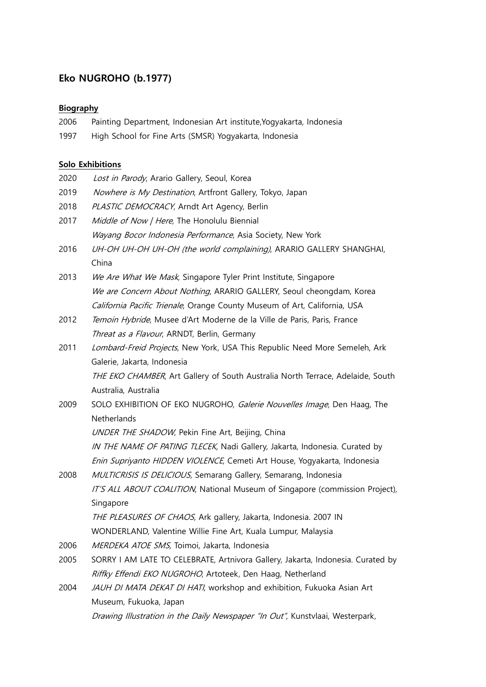# **Eko NUGROHO (b.1977)**

### **Biography**

- 2006 Painting Department, Indonesian Art institute,Yogyakarta, Indonesia
- 1997 High School for Fine Arts (SMSR) Yogyakarta, Indonesia

## **Solo Exhibitions**

| 2020 | Lost in Parody, Arario Gallery, Seoul, Korea                                    |
|------|---------------------------------------------------------------------------------|
| 2019 | Nowhere is My Destination, Artfront Gallery, Tokyo, Japan                       |
| 2018 | PLASTIC DEMOCRACY, Arndt Art Agency, Berlin                                     |
| 2017 | Middle of Now / Here, The Honolulu Biennial                                     |
|      | Wayang Bocor Indonesia Performance, Asia Society, New York                      |
| 2016 | UH-OH UH-OH UH-OH (the world complaining), ARARIO GALLERY SHANGHAI,<br>China    |
| 2013 | We Are What We Mask, Singapore Tyler Print Institute, Singapore                 |
|      | We are Concern About Nothing, ARARIO GALLERY, Seoul cheongdam, Korea            |
|      | California Pacific Trienale, Orange County Museum of Art, California, USA       |
| 2012 | Temoin Hybride, Musee d'Art Moderne de la Ville de Paris, Paris, France         |
|      | Threat as a Flavour, ARNDT, Berlin, Germany                                     |
| 2011 | Lombard-Freid Projects, New York, USA This Republic Need More Semeleh, Ark      |
|      | Galerie, Jakarta, Indonesia                                                     |
|      | THE EKO CHAMBER, Art Gallery of South Australia North Terrace, Adelaide, South  |
|      | Australia, Australia                                                            |
| 2009 | SOLO EXHIBITION OF EKO NUGROHO, Galerie Nouvelles Image, Den Haag, The          |
|      | Netherlands                                                                     |
|      | UNDER THE SHADOW, Pekin Fine Art, Beijing, China                                |
|      | IN THE NAME OF PATING TLECEK, Nadi Gallery, Jakarta, Indonesia. Curated by      |
|      | Enin Supriyanto HIDDEN VIOLENCE, Cemeti Art House, Yogyakarta, Indonesia        |
| 2008 | MULTICRISIS IS DELICIOUS, Semarang Gallery, Semarang, Indonesia                 |
|      | IT'S ALL ABOUT COALITION, National Museum of Singapore (commission Project),    |
|      | Singapore                                                                       |
|      | THE PLEASURES OF CHAOS, Ark gallery, Jakarta, Indonesia. 2007 IN                |
|      | WONDERLAND, Valentine Willie Fine Art, Kuala Lumpur, Malaysia                   |
| 2006 | MERDEKA ATOE SMS, Toimoi, Jakarta, Indonesia                                    |
| 2005 | SORRY I AM LATE TO CELEBRATE, Artnivora Gallery, Jakarta, Indonesia. Curated by |
|      | Riffky Effendi EKO NUGROHO, Artoteek, Den Haag, Netherland                      |
| 2004 | JAUH DI MATA DEKAT DI HATI, workshop and exhibition, Fukuoka Asian Art          |
|      | Museum, Fukuoka, Japan                                                          |
|      | Drawing Illustration in the Daily Newspaper "In Out", Kunstvlaai, Westerpark,   |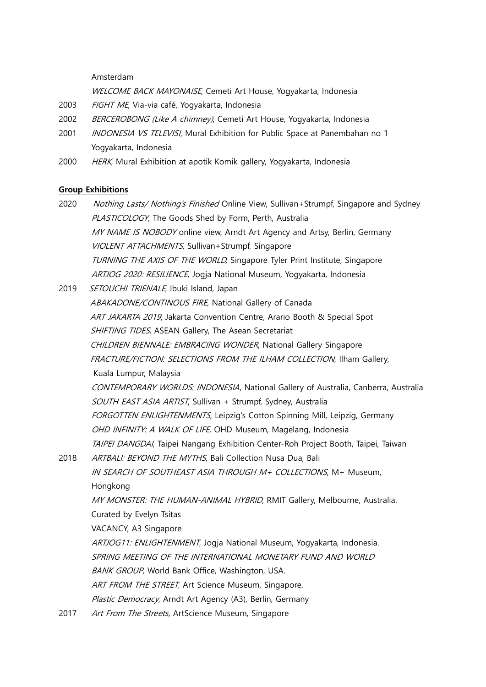#### Amsterdam

WELCOME BACK MAYONAISE, Cemeti Art House, Yogyakarta, Indonesia

- 2003 FIGHT ME, Via-via café, Yogyakarta, Indonesia
- 2002 BERCEROBONG (Like A chimney), Cemeti Art House, Yogyakarta, Indonesia
- 2001 *INDONESIA VS TELEVISI*, Mural Exhibition for Public Space at Panembahan no 1 Yogyakarta, Indonesia
- 2000 HERK, Mural Exhibition at apotik Komik gallery, Yogyakarta, Indonesia

#### **Group Exhibitions**

- 2020 Nothing Lasts/ Nothing's Finished Online View, Sullivan+Strumpf, Singapore and Sydney PLASTICOLOGY, The Goods Shed by Form, Perth, Australia MY NAME IS NOBODY online view, Arndt Art Agency and Artsy, Berlin, Germany VIOLENT ATTACHMENTS, Sullivan+Strumpf, Singapore TURNING THE AXIS OF THE WORLD, Singapore Tyler Print Institute, Singapore ARTJOG 2020: RESILIENCE, Jogia National Museum, Yogyakarta, Indonesia 2019 SETOUCHI TRIENALE, Ibuki Island, Japan
- ABAKADONE/CONTINOUS FIRE, National Gallery of Canada ART JAKARTA 2019, Jakarta Convention Centre, Arario Booth & Special Spot SHIFTING TIDES, ASEAN Gallery, The Asean Secretariat CHILDREN BIENNALE: EMBRACING WONDER, National Gallery Singapore FRACTURE/FICTION: SELECTIONS FROM THE ILHAM COLLECTION, Ilham Gallery, Kuala Lumpur, Malaysia CONTEMPORARY WORLDS: INDONESIA, National Gallery of Australia, Canberra, Australia SOUTH EAST ASIA ARTIST, Sullivan + Strumpf, Sydney, Australia FORGOTTEN ENLIGHTENMENTS, Leipzig's Cotton Spinning Mill, Leipzig, Germany OHD INFINITY: A WALK OF LIFE, OHD Museum, Magelang, Indonesia TAIPEI DANGDAI, Taipei Nangang Exhibition Center-Roh Project Booth, Taipei, Taiwan 2018 ARTBALI: BEYOND THE MYTHS, Bali Collection Nusa Dua, Bali IN SEARCH OF SOUTHEAST ASIA THROUGH M+ COLLECTIONS, M+ Museum, Hongkong MY MONSTER: THE HUMAN-ANIMAL HYBRID, RMIT Gallery, Melbourne, Australia. Curated by Evelyn Tsitas VACANCY, A3 Singapore ARTJOG11: ENLIGHTENMENT, Jogja National Museum, Yogyakarta, Indonesia. SPRING MEETING OF THE INTERNATIONAL MONETARY FUND AND WORLD BANK GROUP, World Bank Office, Washington, USA. ART FROM THE STREET, Art Science Museum, Singapore. Plastic Democracy, Arndt Art Agency (A3), Berlin, Germany 2017 Art From The Streets, ArtScience Museum, Singapore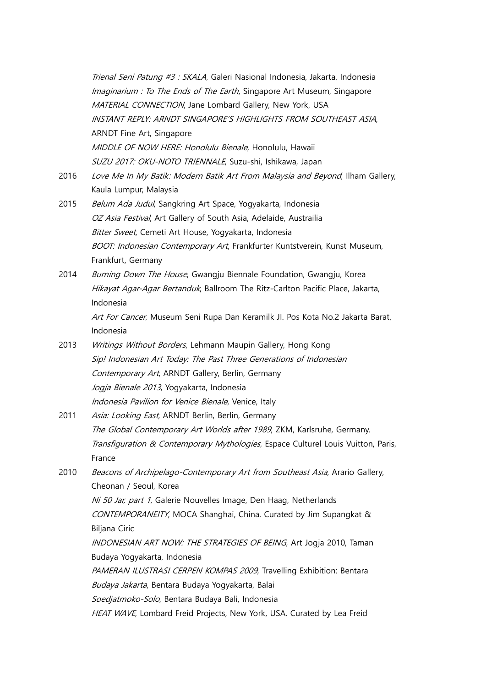Trienal Seni Patung #3 : SKALA, Galeri Nasional Indonesia, Jakarta, Indonesia Imaginarium : To The Ends of The Earth, Singapore Art Museum, Singapore MATERIAL CONNECTION, Jane Lombard Gallery, New York, USA INSTANT REPLY: ARNDT SINGAPORE'S HIGHLIGHTS FROM SOUTHEAST ASIA, ARNDT Fine Art, Singapore MIDDLE OF NOW HERE: Honolulu Bienale, Honolulu, Hawaii SUZU 2017: OKU-NOTO TRIENNALE, Suzu-shi, Ishikawa, Japan

- 2016 Love Me In My Batik: Modern Batik Art From Malaysia and Beyond, Ilham Gallery, Kaula Lumpur, Malaysia
- 2015 Belum Ada Judul, Sangkring Art Space, Yogyakarta, Indonesia OZ Asia Festival, Art Gallery of South Asia, Adelaide, Austrailia Bitter Sweet, Cemeti Art House, Yogyakarta, Indonesia BOOT: Indonesian Contemporary Art, Frankfurter Kuntstverein, Kunst Museum, Frankfurt, Germany
- 2014 *Burning Down The House*, Gwangju Biennale Foundation, Gwangju, Korea Hikayat Agar-Agar Bertanduk, Ballroom The Ritz-Carlton Pacific Place, Jakarta, Indonesia

Art For Cancer, Museum Seni Rupa Dan Keramilk Jl. Pos Kota No.2 Jakarta Barat, Indonesia

- 2013 Writings Without Borders, Lehmann Maupin Gallery, Hong Kong Sip! Indonesian Art Today: The Past Three Generations of Indonesian Contemporary Art, ARNDT Gallery, Berlin, Germany Jogja Bienale 2013, Yogyakarta, Indonesia Indonesia Pavilion for Venice Bienale, Venice, Italy
- 2011 Asia: Looking East, ARNDT Berlin, Berlin, Germany The Global Contemporary Art Worlds after 1989, ZKM, Karlsruhe, Germany. Transfiguration & Contemporary Mythologies, Espace Culturel Louis Vuitton, Paris, France
- 2010 Beacons of Archipelago-Contemporary Art from Southeast Asia, Arario Gallery, Cheonan / Seoul, Korea Ni 50 Jar, part 1, Galerie Nouvelles Image, Den Haag, Netherlands CONTEMPORANEITY, MOCA Shanghai, China. Curated by Jim Supangkat & Biljana Ciric INDONESIAN ART NOW: THE STRATEGIES OF BEING, Art Jogja 2010, Taman Budaya Yogyakarta, Indonesia PAMERAN ILUSTRASI CERPEN KOMPAS 2009, Travelling Exhibition: Bentara Budaya Jakarta, Bentara Budaya Yogyakarta, Balai Soedjatmoko-Solo, Bentara Budaya Bali, Indonesia HEAT WAVE, Lombard Freid Projects, New York, USA. Curated by Lea Freid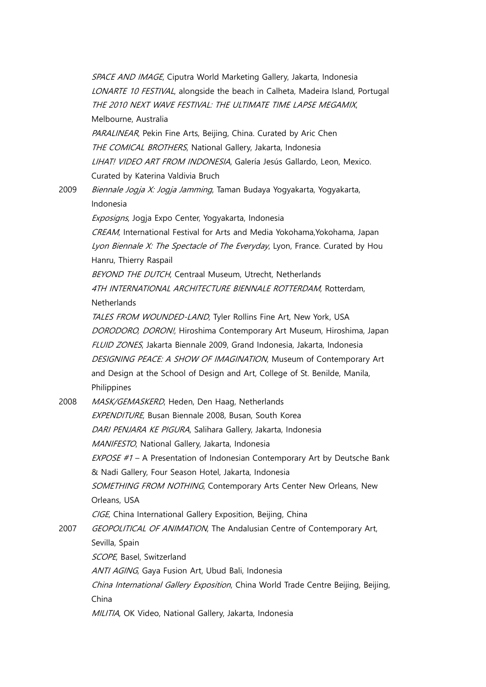SPACE AND IMAGE, Ciputra World Marketing Gallery, Jakarta, Indonesia LONARTE 10 FESTIVAL, alongside the beach in Calheta, Madeira Island, Portugal THE 2010 NEXT WAVE FESTIVAL: THE ULTIMATE TIME LAPSE MEGAMIX, Melbourne, Australia PARALINEAR, Pekin Fine Arts, Beijing, China. Curated by Aric Chen THE COMICAL BROTHERS, National Gallery, Jakarta, Indonesia LIHAT! VIDEO ART FROM INDONESIA, Galería Jesús Gallardo, Leon, Mexico. Curated by Katerina Valdivia Bruch 2009 Biennale Jogja X: Jogja Jamming, Taman Budaya Yogyakarta, Yogyakarta, Indonesia Exposigns, Jogja Expo Center, Yogyakarta, Indonesia CREAM, International Festival for Arts and Media Yokohama, Yokohama, Japan Lyon Biennale X: The Spectacle of The Everyday, Lyon, France, Curated by Hou Hanru, Thierry Raspail BEYOND THE DUTCH, Centraal Museum, Utrecht, Netherlands 4TH INTERNATIONAL ARCHITECTURE BIENNALE ROTTERDAM, Rotterdam, **Netherlands** TALES FROM WOUNDED-LAND, Tyler Rollins Fine Art, New York, USA DORODORO, DORON!, Hiroshima Contemporary Art Museum, Hiroshima, Japan FLUID ZONES, Jakarta Biennale 2009, Grand Indonesia, Jakarta, Indonesia DESIGNING PEACE: A SHOW OF IMAGINATION, Museum of Contemporary Art and Design at the School of Design and Art, College of St. Benilde, Manila, Philippines 2008 MASK/GEMASKERD, Heden, Den Haag, Netherlands EXPENDITURE, Busan Biennale 2008, Busan, South Korea DARI PENJARA KE PIGURA, Salihara Gallery, Jakarta, Indonesia MANIFESTO, National Gallery, Jakarta, Indonesia EXPOSE #1 - A Presentation of Indonesian Contemporary Art by Deutsche Bank & Nadi Gallery, Four Season Hotel, Jakarta, Indonesia SOMETHING FROM NOTHING, Contemporary Arts Center New Orleans, New Orleans, USA CIGE, China International Gallery Exposition, Beijing, China 2007 GEOPOLITICAL OF ANIMATION, The Andalusian Centre of Contemporary Art, Sevilla, Spain SCOPE, Basel, Switzerland ANTI AGING, Gaya Fusion Art, Ubud Bali, Indonesia China International Gallery Exposition, China World Trade Centre Beijing, Beijing, China MILITIA, OK Video, National Gallery, Jakarta, Indonesia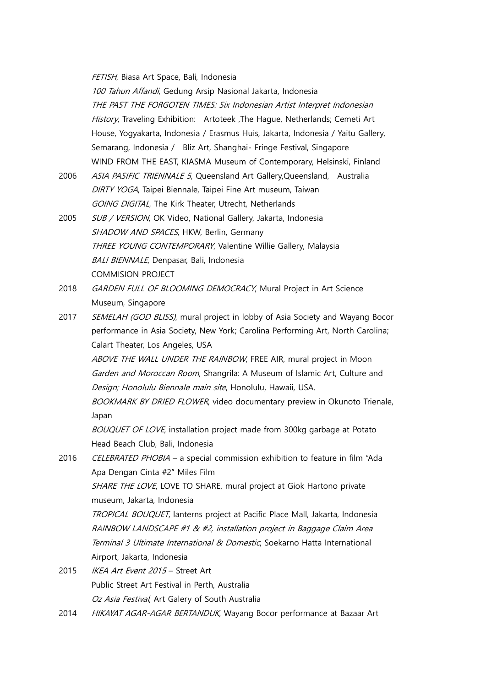FETISH, Biasa Art Space, Bali, Indonesia

100 Tahun Affandi, Gedung Arsip Nasional Jakarta, Indonesia THE PAST THE FORGOTEN TIMES: Six Indonesian Artist Interpret Indonesian History, Traveling Exhibition: Artoteek , The Hague, Netherlands; Cemeti Art House, Yogyakarta, Indonesia / Erasmus Huis, Jakarta, Indonesia / Yaitu Gallery, Semarang, Indonesia / Bliz Art, Shanghai- Fringe Festival, Singapore WIND FROM THE EAST, KIASMA Museum of Contemporary, Helsinski, Finland

- 2006 ASIA PASIFIC TRIENNALE 5, Queensland Art Gallery, Queensland, Australia DIRTY YOGA, Taipei Biennale, Taipei Fine Art museum, Taiwan GOING DIGITAL, The Kirk Theater, Utrecht, Netherlands
- 2005 SUB / VERSION, OK Video, National Gallery, Jakarta, Indonesia SHADOW AND SPACES, HKW, Berlin, Germany THREE YOUNG CONTEMPORARY, Valentine Willie Gallery, Malaysia BALI BIENNALE, Denpasar, Bali, Indonesia COMMISION PROJECT
- 2018 GARDEN FULL OF BLOOMING DEMOCRACY, Mural Project in Art Science Museum, Singapore
- 2017 SEMELAH (GOD BLISS), mural project in lobby of Asia Society and Wayang Bocor performance in Asia Society, New York; Carolina Performing Art, North Carolina; Calart Theater, Los Angeles, USA

ABOVE THE WALL UNDER THE RAINBOW, FREE AIR, mural project in Moon Garden and Moroccan Room, Shangrila: A Museum of Islamic Art, Culture and Design; Honolulu Biennale main site, Honolulu, Hawaii, USA.

BOOKMARK BY DRIED FLOWER, video documentary preview in Okunoto Trienale, Japan

BOUQUET OF LOVE, installation project made from 300kg garbage at Potato Head Beach Club, Bali, Indonesia

2016 *CELEBRATED PHOBIA - a special commission exhibition to feature in film "Ada* Apa Dengan Cinta #2" Miles Film SHARE THE LOVE, LOVE TO SHARE, mural project at Giok Hartono private

museum, Jakarta, Indonesia

TROPICAL BOUQUET, lanterns project at Pacific Place Mall, Jakarta, Indonesia RAINBOW LANDSCAPE #1 & #2, installation project in Baggage Claim Area Terminal 3 Ultimate International & Domestic, Soekarno Hatta International Airport, Jakarta, Indonesia

- 2015 IKEA Art Event 2015 Street Art Public Street Art Festival in Perth, Australia Oz Asia Festival, Art Galery of South Australia
- 2014 HIKAYAT AGAR-AGAR BERTANDUK, Wayang Bocor performance at Bazaar Art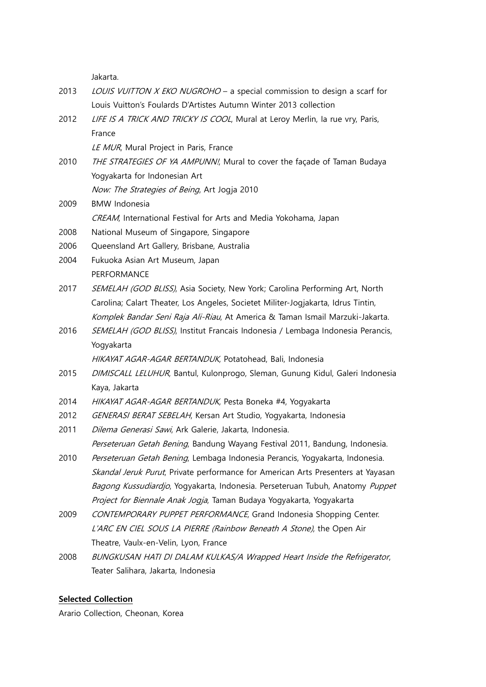Jakarta.

- 2013 LOUIS VUITTON X EKO NUGROHO a special commission to design a scarf for Louis Vuitton's Foulards D'Artistes Autumn Winter 2013 collection
- 2012 LIFE IS A TRICK AND TRICKY IS COOL, Mural at Leroy Merlin, Ia rue vry, Paris, France

LE MUR, Mural Project in Paris, France

2010 THE STRATEGIES OF YA AMPUNN!, Mural to cover the façade of Taman Budaya Yogyakarta for Indonesian Art

Now: The Strategies of Being, Art Jogja 2010

- 2009 BMW Indonesia CREAM, International Festival for Arts and Media Yokohama, Japan
- 2008 National Museum of Singapore, Singapore
- 2006 Queensland Art Gallery, Brisbane, Australia
- 2004 Fukuoka Asian Art Museum, Japan PERFORMANCE
- 2017 SEMELAH (GOD BLISS), Asia Society, New York; Carolina Performing Art, North Carolina; Calart Theater, Los Angeles, Societet Militer-Jogjakarta, Idrus Tintin, Komplek Bandar Seni Raja Ali-Riau, At America & Taman Ismail Marzuki-Jakarta.
- 2016 SEMELAH (GOD BLISS), Institut Francais Indonesia / Lembaga Indonesia Perancis, Yogyakarta

HIKAYAT AGAR-AGAR BERTANDUK, Potatohead, Bali, Indonesia

- 2015 *DIMISCALL LELUHUR*, Bantul, Kulonprogo, Sleman, Gunung Kidul, Galeri Indonesia Kaya, Jakarta
- 2014 HIKAYAT AGAR-AGAR BERTANDUK, Pesta Boneka #4, Yogyakarta
- 2012 GENERASI BERAT SEBELAH, Kersan Art Studio, Yogyakarta, Indonesia
- 2011 *Dilema Generasi Sawi*, Ark Galerie, Jakarta, Indonesia. Perseteruan Getah Bening, Bandung Wayang Festival 2011, Bandung, Indonesia.
- 2010 Perseteruan Getah Bening, Lembaga Indonesia Perancis, Yogyakarta, Indonesia. Skandal Jeruk Purut, Private performance for American Arts Presenters at Yayasan Bagong Kussudiardjo, Yogyakarta, Indonesia. Perseteruan Tubuh, Anatomy Puppet Project for Biennale Anak Jogja, Taman Budaya Yogyakarta, Yogyakarta
- 2009 CONTEMPORARY PUPPET PERFORMANCE, Grand Indonesia Shopping Center. L'ARC EN CIEL SOUS LA PIERRE (Rainbow Beneath A Stone), the Open Air Theatre, Vaulx-en-Velin, Lyon, France
- 2008 BUNGKUSAN HATI DI DALAM KULKAS/A Wrapped Heart Inside the Refrigerator, Teater Salihara, Jakarta, Indonesia

#### **Selected Collection**

Arario Collection, Cheonan, Korea